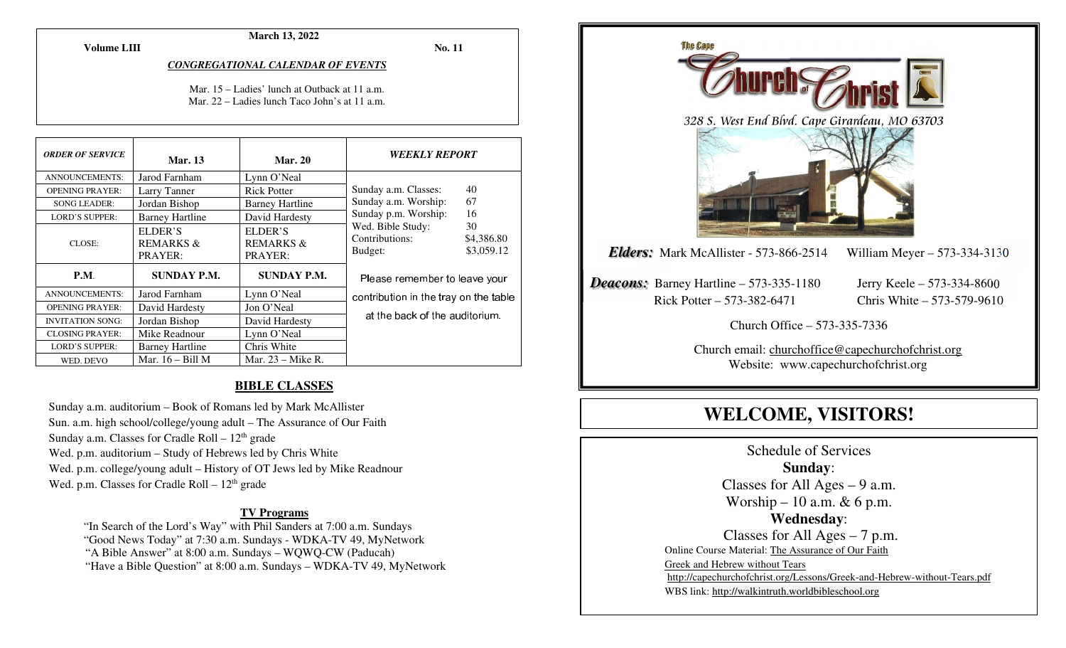**March 13, 2022** 

**Volume LIII**

**No. 11** 

#### *CONGREGATIONAL CALENDAR OF EVENTS*

Mar. 15 – Ladies' lunch at Outback at 11 a.m. Mar. 22 – Ladies lunch Taco John's at 11 a.m.

| <b>ORDER OF SERVICE</b> | <b>Mar.</b> 13                             | <b>Mar. 20</b>                             | <i><b>WEEKLY REPORT</b></i>                                                      |
|-------------------------|--------------------------------------------|--------------------------------------------|----------------------------------------------------------------------------------|
| <b>ANNOUNCEMENTS:</b>   | Jarod Farnham                              | Lynn O'Neal                                |                                                                                  |
| <b>OPENING PRAYER:</b>  | Larry Tanner                               | <b>Rick Potter</b>                         | 40<br>Sunday a.m. Classes:                                                       |
| <b>SONG LEADER:</b>     | Jordan Bishop                              | <b>Barney Hartline</b>                     | 67<br>Sunday a.m. Worship:                                                       |
| <b>LORD'S SUPPER:</b>   | <b>Barney Hartline</b>                     | David Hardesty                             | 16<br>Sunday p.m. Worship:                                                       |
| CLOSE:                  | ELDER'S<br><b>REMARKS &amp;</b><br>PRAYER: | ELDER'S<br><b>REMARKS &amp;</b><br>PRAYER: | Wed. Bible Study:<br>30<br>Contributions:<br>\$4,386.80<br>\$3,059.12<br>Budget: |
| <b>P.M.</b>             | SUNDAY P.M.                                | <b>SUNDAY P.M.</b>                         | Please remember to leave your                                                    |
| <b>ANNOUNCEMENTS:</b>   | Jarod Farnham                              | Lynn O'Neal                                | contribution in the tray on the table                                            |
| <b>OPENING PRAYER:</b>  | David Hardesty                             | Jon O'Neal                                 |                                                                                  |
| <b>INVITATION SONG:</b> | Jordan Bishop                              | David Hardesty                             | at the back of the auditorium.                                                   |
| <b>CLOSING PRAYER:</b>  | Mike Readnour                              | Lynn O'Neal                                |                                                                                  |
| <b>LORD'S SUPPER:</b>   | <b>Barney Hartline</b>                     | Chris White                                |                                                                                  |
| WED. DEVO               | Mar. $16 - Bill M$                         | Mar. $23$ – Mike R.                        |                                                                                  |

#### **BIBLE CLASSES**

Sunday a.m. auditorium – Book of Romans led by Mark McAllister Sun. a.m. high school/college/young adult – The Assurance of Our Faith Sunday a.m. Classes for Cradle Roll  $-12<sup>th</sup>$  grade Wed. p.m. auditorium – Study of Hebrews led by Chris White Wed. p.m. college/young adult – History of OT Jews led by Mike Readnour Wed. p.m. Classes for Cradle Roll  $-12<sup>th</sup>$  grade

#### **TV Programs**

 "In Search of the Lord's Way" with Phil Sanders at 7:00 a.m. Sundays "Good News Today" at 7:30 a.m. Sundays - WDKA-TV 49, MyNetwork "A Bible Answer" at 8:00 a.m. Sundays – WQWQ-CW (Paducah) "Have a Bible Question" at 8:00 a.m. Sundays – WDKA-TV 49, MyNetwork



# **WELCOME, VISITORS!**

Schedule of Services **Sunday**: Classes for All Ages  $-9$  a.m. Worship – 10 a.m.  $& 6$  p.m. **Wednesday**: Classes for All Ages – 7 p.m. Online Course Material: The Assurance of Our Faith Greek and Hebrew without Tears http://capechurchofchrist.org/Lessons/Greek-and-Hebrew-without-Tears.pdfWBS link: http://walkintruth.worldbibleschool.org